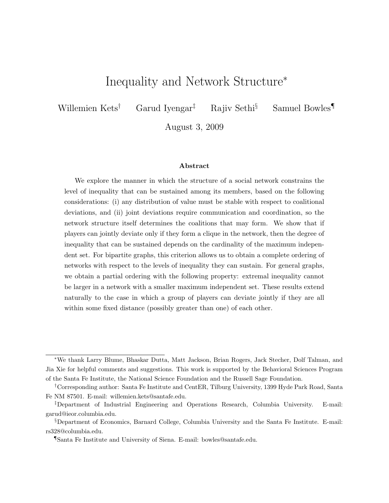# Inequality and Network Structure<sup>∗</sup>

Willemien Kets<sup>†</sup> Garud Iyengar<sup>‡</sup> Rajiv Sethi<sup>§</sup> Samuel Bowles<sup>¶</sup>

August 3, 2009

#### Abstract

We explore the manner in which the structure of a social network constrains the level of inequality that can be sustained among its members, based on the following considerations: (i) any distribution of value must be stable with respect to coalitional deviations, and (ii) joint deviations require communication and coordination, so the network structure itself determines the coalitions that may form. We show that if players can jointly deviate only if they form a clique in the network, then the degree of inequality that can be sustained depends on the cardinality of the maximum independent set. For bipartite graphs, this criterion allows us to obtain a complete ordering of networks with respect to the levels of inequality they can sustain. For general graphs, we obtain a partial ordering with the following property: extremal inequality cannot be larger in a network with a smaller maximum independent set. These results extend naturally to the case in which a group of players can deviate jointly if they are all within some fixed distance (possibly greater than one) of each other.

<sup>∗</sup>We thank Larry Blume, Bhaskar Dutta, Matt Jackson, Brian Rogers, Jack Stecher, Dolf Talman, and Jia Xie for helpful comments and suggestions. This work is supported by the Behavioral Sciences Program of the Santa Fe Institute, the National Science Foundation and the Russell Sage Foundation.

<sup>†</sup>Corresponding author: Santa Fe Institute and CentER, Tilburg University, 1399 Hyde Park Road, Santa Fe NM 87501. E-mail: willemien.kets@santafe.edu.

<sup>‡</sup>Department of Industrial Engineering and Operations Research, Columbia University. E-mail: garud@ieor.columbia.edu.

<sup>§</sup>Department of Economics, Barnard College, Columbia University and the Santa Fe Institute. E-mail: rs328@columbia.edu.

<sup>¶</sup>Santa Fe Institute and University of Siena. E-mail: bowles@santafe.edu.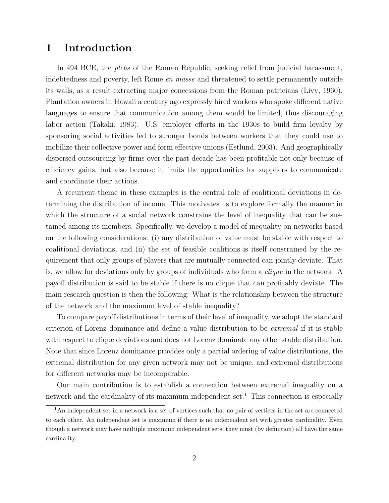### 1 Introduction

In 494 BCE, the *plebs* of the Roman Republic, seeking relief from judicial harassment, indebtedness and poverty, left Rome en masse and threatened to settle permanently outside its walls, as a result extracting major concessions from the Roman patricians (Livy, 1960). Plantation owners in Hawaii a century ago expressly hired workers who spoke different native languages to ensure that communication among them would be limited, thus discouraging labor action (Takaki, 1983). U.S. employer efforts in the 1930s to build firm loyalty by sponsoring social activities led to stronger bonds between workers that they could use to mobilize their collective power and form effective unions (Estlund, 2003). And geographically dispersed outsourcing by firms over the past decade has been profitable not only because of efficiency gains, but also because it limits the opportunities for suppliers to communicate and coordinate their actions.

A recurrent theme in these examples is the central role of coalitional deviations in determining the distribution of income. This motivates us to explore formally the manner in which the structure of a social network constrains the level of inequality that can be sustained among its members. Specifically, we develop a model of inequality on networks based on the following considerations: (i) any distribution of value must be stable with respect to coalitional deviations, and (ii) the set of feasible coalitions is itself constrained by the requirement that only groups of players that are mutually connected can jointly deviate. That is, we allow for deviations only by groups of individuals who form a clique in the network. A payoff distribution is said to be stable if there is no clique that can profitably deviate. The main research question is then the following: What is the relationship between the structure of the network and the maximum level of stable inequality?

To compare payoff distributions in terms of their level of inequality, we adopt the standard criterion of Lorenz dominance and define a value distribution to be extremal if it is stable with respect to clique deviations and does not Lorenz dominate any other stable distribution. Note that since Lorenz dominance provides only a partial ordering of value distributions, the extremal distribution for any given network may not be unique, and extremal distributions for different networks may be incomparable.

Our main contribution is to establish a connection between extremal inequality on a network and the cardinality of its maximum independent set.<sup>1</sup> This connection is especially

<sup>1</sup>An independent set in a network is a set of vertices such that no pair of vertices in the set are connected to each other. An independent set is maximum if there is no independent set with greater cardinality. Even though a network may have multiple maximum independent sets, they must (by definition) all have the same cardinality.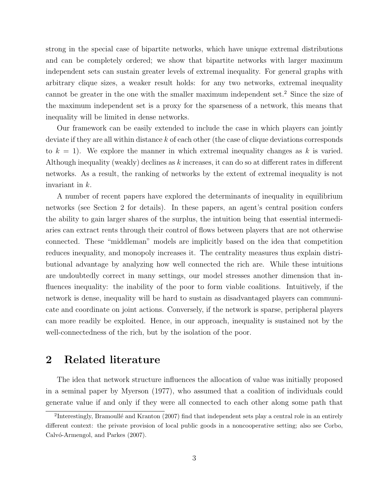strong in the special case of bipartite networks, which have unique extremal distributions and can be completely ordered; we show that bipartite networks with larger maximum independent sets can sustain greater levels of extremal inequality. For general graphs with arbitrary clique sizes, a weaker result holds: for any two networks, extremal inequality cannot be greater in the one with the smaller maximum independent set.<sup>2</sup> Since the size of the maximum independent set is a proxy for the sparseness of a network, this means that inequality will be limited in dense networks.

Our framework can be easily extended to include the case in which players can jointly deviate if they are all within distance  $k$  of each other (the case of clique deviations corresponds to  $k = 1$ ). We explore the manner in which extremal inequality changes as k is varied. Although inequality (weakly) declines as k increases, it can do so at different rates in different networks. As a result, the ranking of networks by the extent of extremal inequality is not invariant in k.

A number of recent papers have explored the determinants of inequality in equilibrium networks (see Section 2 for details). In these papers, an agent's central position confers the ability to gain larger shares of the surplus, the intuition being that essential intermediaries can extract rents through their control of flows between players that are not otherwise connected. These "middleman" models are implicitly based on the idea that competition reduces inequality, and monopoly increases it. The centrality measures thus explain distributional advantage by analyzing how well connected the rich are. While these intuitions are undoubtedly correct in many settings, our model stresses another dimension that influences inequality: the inability of the poor to form viable coalitions. Intuitively, if the network is dense, inequality will be hard to sustain as disadvantaged players can communicate and coordinate on joint actions. Conversely, if the network is sparse, peripheral players can more readily be exploited. Hence, in our approach, inequality is sustained not by the well-connectedness of the rich, but by the isolation of the poor.

### 2 Related literature

The idea that network structure influences the allocation of value was initially proposed in a seminal paper by Myerson (1977), who assumed that a coalition of individuals could generate value if and only if they were all connected to each other along some path that

<sup>&</sup>lt;sup>2</sup>Interestingly, Bramoullé and Kranton (2007) find that independent sets play a central role in an entirely different context: the private provision of local public goods in a noncooperative setting; also see Corbo, Calvó-Armengol, and Parkes (2007).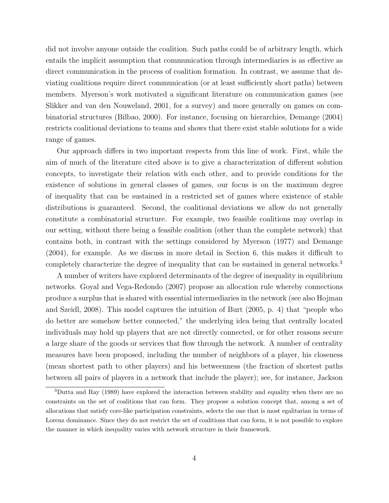did not involve anyone outside the coalition. Such paths could be of arbitrary length, which entails the implicit assumption that communication through intermediaries is as effective as direct communication in the process of coalition formation. In contrast, we assume that deviating coalitions require direct communication (or at least sufficiently short paths) between members. Myerson's work motivated a significant literature on communication games (see Slikker and van den Nouweland, 2001, for a survey) and more generally on games on combinatorial structures (Bilbao, 2000). For instance, focusing on hierarchies, Demange (2004) restricts coalitional deviations to teams and shows that there exist stable solutions for a wide range of games.

Our approach differs in two important respects from this line of work. First, while the aim of much of the literature cited above is to give a characterization of different solution concepts, to investigate their relation with each other, and to provide conditions for the existence of solutions in general classes of games, our focus is on the maximum degree of inequality that can be sustained in a restricted set of games where existence of stable distributions is guaranteed. Second, the coalitional deviations we allow do not generally constitute a combinatorial structure. For example, two feasible coalitions may overlap in our setting, without there being a feasible coalition (other than the complete network) that contains both, in contrast with the settings considered by Myerson (1977) and Demange (2004), for example. As we discuss in more detail in Section 6, this makes it difficult to completely characterize the degree of inequality that can be sustained in general networks.<sup>3</sup>

A number of writers have explored determinants of the degree of inequality in equilibrium networks. Goyal and Vega-Redondo (2007) propose an allocation rule whereby connections produce a surplus that is shared with essential intermediaries in the network (see also Hojman and Szeidl, 2008). This model captures the intuition of Burt (2005, p. 4) that "people who do better are somehow better connected," the underlying idea being that centrally located individuals may hold up players that are not directly connected, or for other reasons secure a large share of the goods or services that flow through the network. A number of centrality measures have been proposed, including the number of neighbors of a player, his closeness (mean shortest path to other players) and his betweenness (the fraction of shortest paths between all pairs of players in a network that include the player); see, for instance, Jackson

<sup>3</sup>Dutta and Ray (1989) have explored the interaction between stability and equality when there are no constraints on the set of coalitions that can form. They propose a solution concept that, among a set of allocations that satisfy core-like participation constraints, selects the one that is most egalitarian in terms of Lorenz dominance. Since they do not restrict the set of coalitions that can form, it is not possible to explore the manner in which inequality varies with network structure in their framework.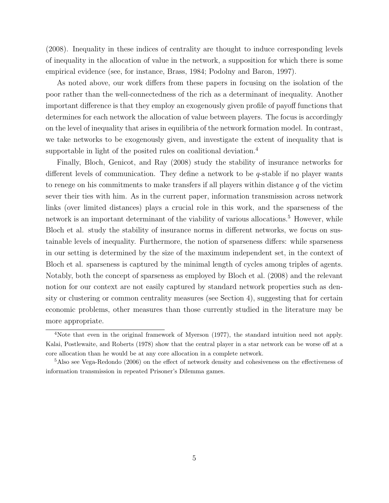(2008). Inequality in these indices of centrality are thought to induce corresponding levels of inequality in the allocation of value in the network, a supposition for which there is some empirical evidence (see, for instance, Brass, 1984; Podolny and Baron, 1997).

As noted above, our work differs from these papers in focusing on the isolation of the poor rather than the well-connectedness of the rich as a determinant of inequality. Another important difference is that they employ an exogenously given profile of payoff functions that determines for each network the allocation of value between players. The focus is accordingly on the level of inequality that arises in equilibria of the network formation model. In contrast, we take networks to be exogenously given, and investigate the extent of inequality that is supportable in light of the posited rules on coalitional deviation.<sup>4</sup>

Finally, Bloch, Genicot, and Ray (2008) study the stability of insurance networks for different levels of communication. They define a network to be  $q$ -stable if no player wants to renege on his commitments to make transfers if all players within distance  $q$  of the victim sever their ties with him. As in the current paper, information transmission across network links (over limited distances) plays a crucial role in this work, and the sparseness of the network is an important determinant of the viability of various allocations.<sup>5</sup> However, while Bloch et al. study the stability of insurance norms in different networks, we focus on sustainable levels of inequality. Furthermore, the notion of sparseness differs: while sparseness in our setting is determined by the size of the maximum independent set, in the context of Bloch et al. sparseness is captured by the minimal length of cycles among triples of agents. Notably, both the concept of sparseness as employed by Bloch et al. (2008) and the relevant notion for our context are not easily captured by standard network properties such as density or clustering or common centrality measures (see Section 4), suggesting that for certain economic problems, other measures than those currently studied in the literature may be more appropriate.

<sup>&</sup>lt;sup>4</sup>Note that even in the original framework of Myerson (1977), the standard intuition need not apply. Kalai, Postlewaite, and Roberts (1978) show that the central player in a star network can be worse off at a core allocation than he would be at any core allocation in a complete network.

<sup>&</sup>lt;sup>5</sup>Also see Vega-Redondo (2006) on the effect of network density and cohesiveness on the effectiveness of information transmission in repeated Prisoner's Dilemma games.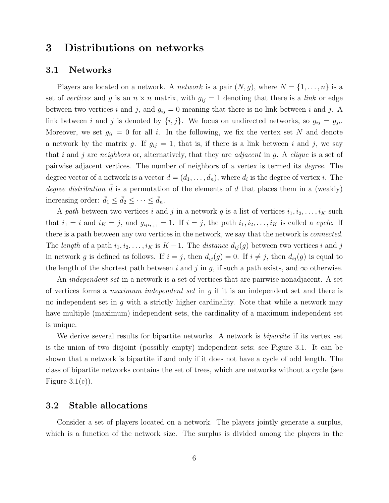## 3 Distributions on networks

#### 3.1 Networks

Players are located on a network. A *network* is a pair  $(N, g)$ , where  $N = \{1, ..., n\}$  is a set of vertices and g is an  $n \times n$  matrix, with  $g_{ij} = 1$  denoting that there is a *link* or edge between two vertices i and j, and  $g_{ij} = 0$  meaning that there is no link between i and j. A link between i and j is denoted by  $\{i, j\}$ . We focus on undirected networks, so  $g_{ij} = g_{ji}$ . Moreover, we set  $g_{ii} = 0$  for all i. In the following, we fix the vertex set N and denote a network by the matrix g. If  $g_{ij} = 1$ , that is, if there is a link between i and j, we say that i and j are neighbors or, alternatively, that they are adjacent in g. A clique is a set of pairwise adjacent vertices. The number of neighbors of a vertex is termed its degree. The degree vector of a network is a vector  $d = (d_1, \ldots, d_n)$ , where  $d_i$  is the degree of vertex i. The degree distribution  $\bar{d}$  is a permutation of the elements of d that places them in a (weakly) increasing order:  $\bar{d}_1 \leq \bar{d}_2 \leq \cdots \leq \bar{d}_n$ .

A path between two vertices i and j in a network g is a list of vertices  $i_1, i_2, \ldots, i_K$  such that  $i_1 = i$  and  $i_K = j$ , and  $g_{i_1 i_{k+1}} = 1$ . If  $i = j$ , the path  $i_1, i_2, \ldots, i_K$  is called a cycle. If there is a path between any two vertices in the network, we say that the network is *connected*. The length of a path  $i_1, i_2, \ldots, i_K$  is  $K - 1$ . The distance  $d_{ij}(g)$  between two vertices i and j in network g is defined as follows. If  $i = j$ , then  $d_{ij}(g) = 0$ . If  $i \neq j$ , then  $d_{ij}(g)$  is equal to the length of the shortest path between i and j in g, if such a path exists, and  $\infty$  otherwise.

An *independent set* in a network is a set of vertices that are pairwise nonadjacent. A set of vertices forms a maximum independent set in  $q$  if it is an independent set and there is no independent set in  $q$  with a strictly higher cardinality. Note that while a network may have multiple (maximum) independent sets, the cardinality of a maximum independent set is unique.

We derive several results for bipartite networks. A network is *bipartite* if its vertex set is the union of two disjoint (possibly empty) independent sets; see Figure 3.1. It can be shown that a network is bipartite if and only if it does not have a cycle of odd length. The class of bipartite networks contains the set of trees, which are networks without a cycle (see Figure  $3.1(c)$ ).

#### 3.2 Stable allocations

Consider a set of players located on a network. The players jointly generate a surplus, which is a function of the network size. The surplus is divided among the players in the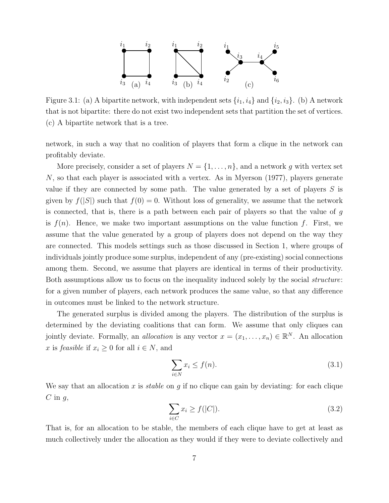

Figure 3.1: (a) A bipartite network, with independent sets  $\{i_1, i_4\}$  and  $\{i_2, i_3\}$ . (b) A network that is not bipartite: there do not exist two independent sets that partition the set of vertices. (c) A bipartite network that is a tree.

network, in such a way that no coalition of players that form a clique in the network can profitably deviate.

More precisely, consider a set of players  $N = \{1, \ldots, n\}$ , and a network g with vertex set N, so that each player is associated with a vertex. As in Myerson (1977), players generate value if they are connected by some path. The value generated by a set of players  $S$  is given by  $f(|S|)$  such that  $f(0) = 0$ . Without loss of generality, we assume that the network is connected, that is, there is a path between each pair of players so that the value of g is  $f(n)$ . Hence, we make two important assumptions on the value function f. First, we assume that the value generated by a group of players does not depend on the way they are connected. This models settings such as those discussed in Section 1, where groups of individuals jointly produce some surplus, independent of any (pre-existing) social connections among them. Second, we assume that players are identical in terms of their productivity. Both assumptions allow us to focus on the inequality induced solely by the social structure: for a given number of players, each network produces the same value, so that any difference in outcomes must be linked to the network structure.

The generated surplus is divided among the players. The distribution of the surplus is determined by the deviating coalitions that can form. We assume that only cliques can jointly deviate. Formally, an *allocation* is any vector  $x = (x_1, \ldots, x_n) \in \mathbb{R}^N$ . An allocation x is *feasible* if  $x_i \geq 0$  for all  $i \in N$ , and

$$
\sum_{i \in N} x_i \le f(n). \tag{3.1}
$$

We say that an allocation x is *stable* on g if no clique can gain by deviating: for each clique  $C$  in  $g$ ,

$$
\sum_{i \in C} x_i \ge f(|C|). \tag{3.2}
$$

That is, for an allocation to be stable, the members of each clique have to get at least as much collectively under the allocation as they would if they were to deviate collectively and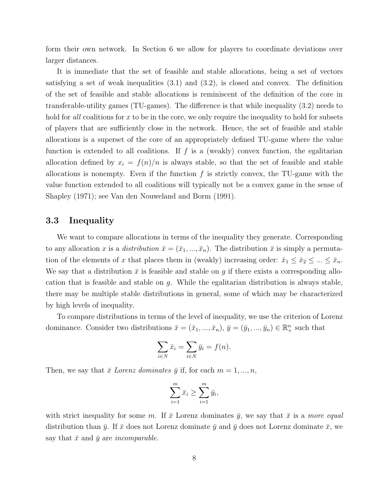form their own network. In Section 6 we allow for players to coordinate deviations over larger distances.

It is immediate that the set of feasible and stable allocations, being a set of vectors satisfying a set of weak inequalities (3.1) and (3.2), is closed and convex. The definition of the set of feasible and stable allocations is reminiscent of the definition of the core in transferable-utility games (TU-games). The difference is that while inequality (3.2) needs to hold for all coalitions for x to be in the core, we only require the inequality to hold for subsets of players that are sufficiently close in the network. Hence, the set of feasible and stable allocations is a superset of the core of an appropriately defined TU-game where the value function is extended to all coalitions. If f is a (weakly) convex function, the egalitarian allocation defined by  $x_i = f(n)/n$  is always stable, so that the set of feasible and stable allocations is nonempty. Even if the function  $f$  is strictly convex, the TU-game with the value function extended to all coalitions will typically not be a convex game in the sense of Shapley (1971); see Van den Nouweland and Borm (1991).

### 3.3 Inequality

We want to compare allocations in terms of the inequality they generate. Corresponding to any allocation x is a distribution  $\bar{x} = (\bar{x}_1, ..., \bar{x}_n)$ . The distribution  $\bar{x}$  is simply a permutation of the elements of x that places them in (weakly) increasing order:  $\bar{x}_1 \leq \bar{x}_2 \leq ... \leq \bar{x}_n$ . We say that a distribution  $\bar{x}$  is feasible and stable on q if there exists a corresponding allocation that is feasible and stable on g. While the egalitarian distribution is always stable, there may be multiple stable distributions in general, some of which may be characterized by high levels of inequality.

To compare distributions in terms of the level of inequality, we use the criterion of Lorenz dominance. Consider two distributions  $\bar{x} = (\bar{x}_1, ..., \bar{x}_n), \bar{y} = (\bar{y}_1, ..., \bar{y}_n) \in \mathbb{R}^n_+$  such that

$$
\sum_{i \in N} \bar{x}_i = \sum_{i \in N} \bar{y}_i = f(n).
$$

Then, we say that  $\bar{x}$  Lorenz dominates  $\bar{y}$  if, for each  $m = 1, ..., n$ ,

$$
\sum_{i=1}^{m} \bar{x}_i \ge \sum_{i=1}^{m} \bar{y}_i,
$$

with strict inequality for some m. If  $\bar{x}$  Lorenz dominates  $\bar{y}$ , we say that  $\bar{x}$  is a more equal distribution than  $\bar{y}$ . If  $\bar{x}$  does not Lorenz dominate  $\bar{y}$  and  $\bar{y}$  does not Lorenz dominate  $\bar{x}$ , we say that  $\bar{x}$  and  $\bar{y}$  are *incomparable*.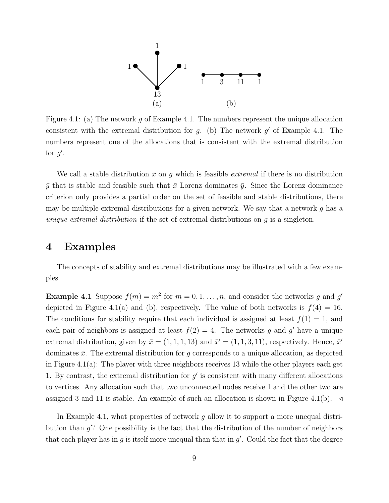

Figure 4.1: (a) The network q of Example 4.1. The numbers represent the unique allocation consistent with the extremal distribution for  $g$ . (b) The network  $g'$  of Example 4.1. The numbers represent one of the allocations that is consistent with the extremal distribution for  $g'$ .

We call a stable distribution  $\bar{x}$  on g which is feasible *extremal* if there is no distribution  $\bar{y}$  that is stable and feasible such that  $\bar{x}$  Lorenz dominates  $\bar{y}$ . Since the Lorenz dominance criterion only provides a partial order on the set of feasible and stable distributions, there may be multiple extremal distributions for a given network. We say that a network  $g$  has a unique extremal distribution if the set of extremal distributions on g is a singleton.

### 4 Examples

The concepts of stability and extremal distributions may be illustrated with a few examples.

**Example 4.1** Suppose  $f(m) = m^2$  for  $m = 0, 1, ..., n$ , and consider the networks g and g' depicted in Figure 4.1(a) and (b), respectively. The value of both networks is  $f(4) = 16$ . The conditions for stability require that each individual is assigned at least  $f(1) = 1$ , and each pair of neighbors is assigned at least  $f(2) = 4$ . The networks g and g' have a unique extremal distribution, given by  $\bar{x} = (1, 1, 1, 1, 13)$  and  $\bar{x}' = (1, 1, 3, 11)$ , respectively. Hence,  $\bar{x}'$ dominates  $\bar{x}$ . The extremal distribution for q corresponds to a unique allocation, as depicted in Figure 4.1(a): The player with three neighbors receives 13 while the other players each get 1. By contrast, the extremal distribution for  $g'$  is consistent with many different allocations to vertices. Any allocation such that two unconnected nodes receive 1 and the other two are assigned 3 and 11 is stable. An example of such an allocation is shown in Figure 4.1(b).  $\triangleleft$ 

In Example 4.1, what properties of network g allow it to support a more unequal distribution than  $g'$ ? One possibility is the fact that the distribution of the number of neighbors that each player has in  $g$  is itself more unequal than that in  $g'$ . Could the fact that the degree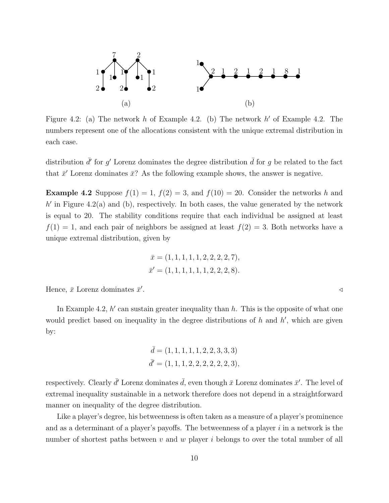

Figure 4.2: (a) The network h of Example 4.2. (b) The network  $h'$  of Example 4.2. The numbers represent one of the allocations consistent with the unique extremal distribution in each case.

distribution  $\bar{d}'$  for g' Lorenz dominates the degree distribution  $\bar{d}$  for g be related to the fact that  $\bar{x}'$  Lorenz dominates  $\bar{x}$ ? As the following example shows, the answer is negative.

**Example 4.2** Suppose  $f(1) = 1$ ,  $f(2) = 3$ , and  $f(10) = 20$ . Consider the networks h and  $h'$  in Figure 4.2(a) and (b), respectively. In both cases, the value generated by the network is equal to 20. The stability conditions require that each individual be assigned at least  $f(1) = 1$ , and each pair of neighbors be assigned at least  $f(2) = 3$ . Both networks have a unique extremal distribution, given by

$$
\bar{x} = (1, 1, 1, 1, 1, 2, 2, 2, 2, 7),
$$
  

$$
\bar{x}' = (1, 1, 1, 1, 1, 1, 2, 2, 2, 8).
$$

Hence,  $\bar{x}$  Lorenz dominates  $\bar{x}'$ . /

In Example 4.2,  $h'$  can sustain greater inequality than  $h$ . This is the opposite of what one would predict based on inequality in the degree distributions of  $h$  and  $h'$ , which are given by:

$$
\overline{d} = (1, 1, 1, 1, 1, 2, 2, 3, 3, 3)
$$

$$
\overline{d}' = (1, 1, 1, 2, 2, 2, 2, 2, 2, 3),
$$

respectively. Clearly  $\bar{d}'$  Lorenz dominates  $\bar{d}$ , even though  $\bar{x}$  Lorenz dominates  $\bar{x}'$ . The level of extremal inequality sustainable in a network therefore does not depend in a straightforward manner on inequality of the degree distribution.

Like a player's degree, his betweenness is often taken as a measure of a player's prominence and as a determinant of a player's payoffs. The betweenness of a player  $i$  in a network is the number of shortest paths between  $v$  and  $w$  player  $i$  belongs to over the total number of all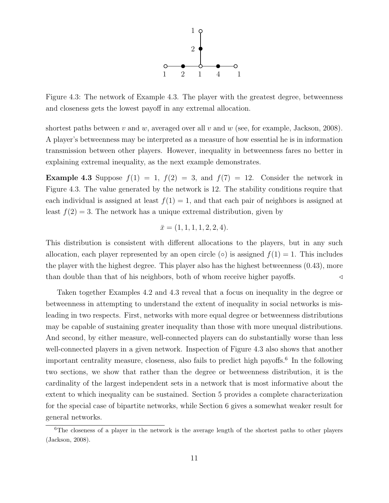

Figure 4.3: The network of Example 4.3. The player with the greatest degree, betweenness and closeness gets the lowest payoff in any extremal allocation.

shortest paths between v and w, averaged over all v and w (see, for example, Jackson, 2008). A player's betweenness may be interpreted as a measure of how essential he is in information transmission between other players. However, inequality in betweenness fares no better in explaining extremal inequality, as the next example demonstrates.

**Example 4.3** Suppose  $f(1) = 1$ ,  $f(2) = 3$ , and  $f(7) = 12$ . Consider the network in Figure 4.3. The value generated by the network is 12. The stability conditions require that each individual is assigned at least  $f(1) = 1$ , and that each pair of neighbors is assigned at least  $f(2) = 3$ . The network has a unique extremal distribution, given by

$$
\bar{x} = (1, 1, 1, 1, 2, 2, 4).
$$

This distribution is consistent with different allocations to the players, but in any such allocation, each player represented by an open circle ( $\circ$ ) is assigned  $f(1) = 1$ . This includes the player with the highest degree. This player also has the highest betweenness (0.43), more than double than that of his neighbors, both of whom receive higher payoffs.  $\triangleleft$ 

Taken together Examples 4.2 and 4.3 reveal that a focus on inequality in the degree or betweenness in attempting to understand the extent of inequality in social networks is misleading in two respects. First, networks with more equal degree or betweenness distributions may be capable of sustaining greater inequality than those with more unequal distributions. And second, by either measure, well-connected players can do substantially worse than less well-connected players in a given network. Inspection of Figure 4.3 also shows that another important centrality measure, closeness, also fails to predict high payoffs.<sup>6</sup> In the following two sections, we show that rather than the degree or betweenness distribution, it is the cardinality of the largest independent sets in a network that is most informative about the extent to which inequality can be sustained. Section 5 provides a complete characterization for the special case of bipartite networks, while Section 6 gives a somewhat weaker result for general networks.

<sup>6</sup>The closeness of a player in the network is the average length of the shortest paths to other players (Jackson, 2008).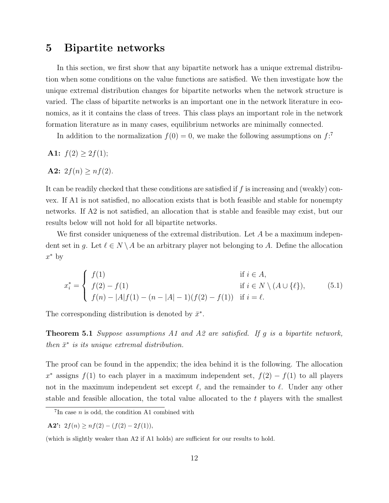### 5 Bipartite networks

In this section, we first show that any bipartite network has a unique extremal distribution when some conditions on the value functions are satisfied. We then investigate how the unique extremal distribution changes for bipartite networks when the network structure is varied. The class of bipartite networks is an important one in the network literature in economics, as it it contains the class of trees. This class plays an important role in the network formation literature as in many cases, equilibrium networks are minimally connected.

In addition to the normalization  $f(0) = 0$ , we make the following assumptions on  $f:$ <sup>7</sup>

**A1:** 
$$
f(2) \ge 2f(1);
$$

A2:  $2f(n) > nf(2)$ .

It can be readily checked that these conditions are satisfied if f is increasing and (weakly) convex. If A1 is not satisfied, no allocation exists that is both feasible and stable for nonempty networks. If A2 is not satisfied, an allocation that is stable and feasible may exist, but our results below will not hold for all bipartite networks.

We first consider uniqueness of the extremal distribution. Let  $A$  be a maximum independent set in g. Let  $\ell \in N \setminus A$  be an arbitrary player not belonging to A. Define the allocation  $x^*$  by

$$
x_i^* = \begin{cases} f(1) & \text{if } i \in A, \\ f(2) - f(1) & \text{if } i \in N \setminus (A \cup \{\ell\}), \\ f(n) - |A|f(1) - (n - |A| - 1)(f(2) - f(1)) & \text{if } i = \ell. \end{cases}
$$
(5.1)

The corresponding distribution is denoted by  $\bar{x}^*$ .

Theorem 5.1 Suppose assumptions A1 and A2 are satisfied. If g is a bipartite network, then  $\bar{x}^*$  is its unique extremal distribution.

The proof can be found in the appendix; the idea behind it is the following. The allocation  $x^*$  assigns  $f(1)$  to each player in a maximum independent set,  $f(2) - f(1)$  to all players not in the maximum independent set except  $\ell$ , and the remainder to  $\ell$ . Under any other stable and feasible allocation, the total value allocated to the t players with the smallest

 $7\text{In case } n \text{ is odd, the condition A1 combined with }$ 

A2':  $2f(n) \geq nf(2) - (f(2) - 2f(1)),$ 

<sup>(</sup>which is slightly weaker than A2 if A1 holds) are sufficient for our results to hold.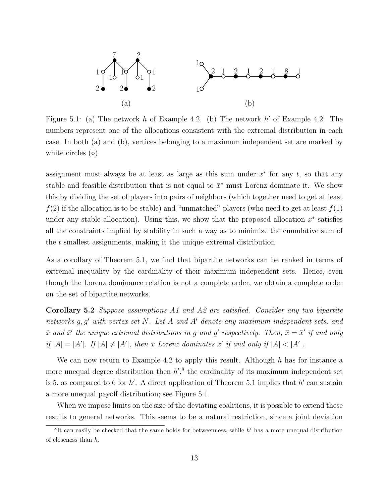

Figure 5.1: (a) The network h of Example 4.2. (b) The network  $h'$  of Example 4.2. The numbers represent one of the allocations consistent with the extremal distribution in each case. In both (a) and (b), vertices belonging to a maximum independent set are marked by white circles  $(○)$ 

assignment must always be at least as large as this sum under  $x^*$  for any  $t$ , so that any stable and feasible distribution that is not equal to  $\bar{x}^*$  must Lorenz dominate it. We show this by dividing the set of players into pairs of neighbors (which together need to get at least  $f(2)$  if the allocation is to be stable) and "unmatched" players (who need to get at least  $f(1)$ under any stable allocation). Using this, we show that the proposed allocation  $x^*$  satisfies all the constraints implied by stability in such a way as to minimize the cumulative sum of the t smallest assignments, making it the unique extremal distribution.

As a corollary of Theorem 5.1, we find that bipartite networks can be ranked in terms of extremal inequality by the cardinality of their maximum independent sets. Hence, even though the Lorenz dominance relation is not a complete order, we obtain a complete order on the set of bipartite networks.

Corollary 5.2 Suppose assumptions A1 and A2 are satisfied. Consider any two bipartite networks  $g, g'$  with vertex set N. Let A and A' denote any maximum independent sets, and  $\bar{x}$  and  $\bar{x}'$  the unique extremal distributions in g and g' respectively. Then,  $\bar{x} = \bar{x}'$  if and only if  $|A| = |A'|$ . If  $|A| \neq |A'|$ , then  $\bar{x}$  Lorenz dominates  $\bar{x}'$  if and only if  $|A| < |A'|$ .

We can now return to Example 4.2 to apply this result. Although  $h$  has for instance a more unequal degree distribution then  $h'$ , the cardinality of its maximum independent set is 5, as compared to 6 for  $h'$ . A direct application of Theorem 5.1 implies that  $h'$  can sustain a more unequal payoff distribution; see Figure 5.1.

When we impose limits on the size of the deviating coalitions, it is possible to extend these results to general networks. This seems to be a natural restriction, since a joint deviation

 ${}^{8}$ It can easily be checked that the same holds for betweenness, while  $h'$  has a more unequal distribution of closeness than h.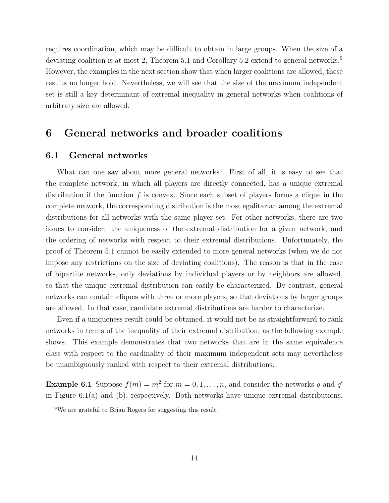requires coordination, which may be difficult to obtain in large groups. When the size of a deviating coalition is at most 2, Theorem 5.1 and Corollary 5.2 extend to general networks.<sup>9</sup> However, the examples in the next section show that when larger coalitions are allowed, these results no longer hold. Nevertheless, we will see that the size of the maximum independent set is still a key determinant of extremal inequality in general networks when coalitions of arbitrary size are allowed.

## 6 General networks and broader coalitions

### 6.1 General networks

What can one say about more general networks? First of all, it is easy to see that the complete network, in which all players are directly connected, has a unique extremal distribution if the function f is convex. Since each subset of players forms a clique in the complete network, the corresponding distribution is the most egalitarian among the extremal distributions for all networks with the same player set. For other networks, there are two issues to consider: the uniqueness of the extremal distribution for a given network, and the ordering of networks with respect to their extremal distributions. Unfortunately, the proof of Theorem 5.1 cannot be easily extended to more general networks (when we do not impose any restrictions on the size of deviating coalitions). The reason is that in the case of bipartite networks, only deviations by individual players or by neighbors are allowed, so that the unique extremal distribution can easily be characterized. By contrast, general networks can contain cliques with three or more players, so that deviations by larger groups are allowed. In that case, candidate extremal distributions are harder to characterize.

Even if a uniqueness result could be obtained, it would not be as straightforward to rank networks in terms of the inequality of their extremal distribution, as the following example shows. This example demonstrates that two networks that are in the same equivalence class with respect to the cardinality of their maximum independent sets may nevertheless be unambiguously ranked with respect to their extremal distributions.

**Example 6.1** Suppose  $f(m) = m^2$  for  $m = 0, 1, ..., n$ , and consider the networks q and q' in Figure 6.1(a) and (b), respectively. Both networks have unique extremal distributions,

<sup>9</sup>We are grateful to Brian Rogers for suggesting this result.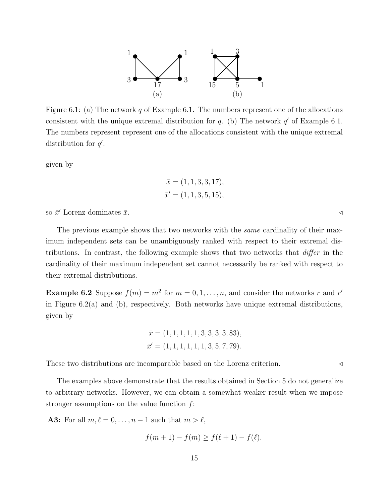

Figure 6.1: (a) The network q of Example 6.1. The numbers represent one of the allocations consistent with the unique extremal distribution for  $q$ . (b) The network  $q'$  of Example 6.1. The numbers represent represent one of the allocations consistent with the unique extremal distribution for  $q'$ .

given by

$$
\bar{x} = (1, 1, 3, 3, 17),
$$
  

$$
\bar{x}' = (1, 1, 3, 5, 15),
$$

so  $\bar{x}'$  Lorenz dominates  $\bar{x}$ .

The previous example shows that two networks with the *same* cardinality of their maximum independent sets can be unambiguously ranked with respect to their extremal distributions. In contrast, the following example shows that two networks that differ in the cardinality of their maximum independent set cannot necessarily be ranked with respect to their extremal distributions.

**Example 6.2** Suppose  $f(m) = m^2$  for  $m = 0, 1, ..., n$ , and consider the networks r and r' in Figure 6.2(a) and (b), respectively. Both networks have unique extremal distributions, given by

$$
\bar{x} = (1, 1, 1, 1, 1, 3, 3, 3, 3, 83),
$$
  

$$
\bar{x}' = (1, 1, 1, 1, 1, 1, 3, 5, 7, 79).
$$

These two distributions are incomparable based on the Lorenz criterion.

The examples above demonstrate that the results obtained in Section 5 do not generalize to arbitrary networks. However, we can obtain a somewhat weaker result when we impose stronger assumptions on the value function  $f$ :

A3: For all  $m, \ell = 0, \ldots, n - 1$  such that  $m > \ell$ ,

$$
f(m + 1) - f(m) \ge f(\ell + 1) - f(\ell).
$$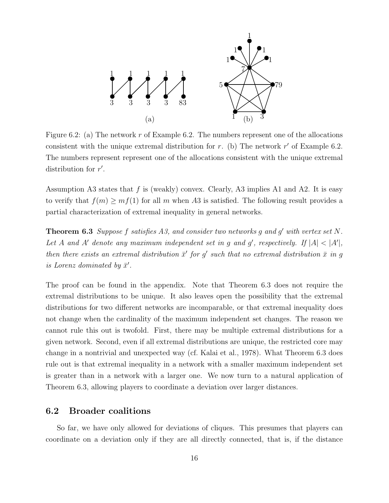

Figure 6.2: (a) The network r of Example 6.2. The numbers represent one of the allocations consistent with the unique extremal distribution for r. (b) The network  $r'$  of Example 6.2. The numbers represent represent one of the allocations consistent with the unique extremal distribution for  $r'$ .

Assumption A3 states that  $f$  is (weakly) convex. Clearly, A3 implies A1 and A2. It is easy to verify that  $f(m) \geq mf(1)$  for all m when A3 is satisfied. The following result provides a partial characterization of extremal inequality in general networks.

**Theorem 6.3** Suppose f satisfies A3, and consider two networks g and  $g'$  with vertex set N. Let A and A' denote any maximum independent set in g and g', respectively. If  $|A| < |A'|$ , then there exists an extremal distribution  $\bar{x}'$  for g' such that no extremal distribution  $\bar{x}$  in g is Lorenz dominated by  $\bar{x}'$ .

The proof can be found in the appendix. Note that Theorem 6.3 does not require the extremal distributions to be unique. It also leaves open the possibility that the extremal distributions for two different networks are incomparable, or that extremal inequality does not change when the cardinality of the maximum independent set changes. The reason we cannot rule this out is twofold. First, there may be multiple extremal distributions for a given network. Second, even if all extremal distributions are unique, the restricted core may change in a nontrivial and unexpected way (cf. Kalai et al., 1978). What Theorem 6.3 does rule out is that extremal inequality in a network with a smaller maximum independent set is greater than in a network with a larger one. We now turn to a natural application of Theorem 6.3, allowing players to coordinate a deviation over larger distances.

### 6.2 Broader coalitions

So far, we have only allowed for deviations of cliques. This presumes that players can coordinate on a deviation only if they are all directly connected, that is, if the distance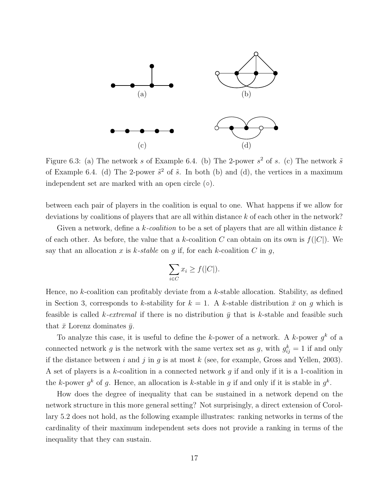

Figure 6.3: (a) The network s of Example 6.4. (b) The 2-power  $s^2$  of s. (c) The network  $\tilde{s}$ of Example 6.4. (d) The 2-power  $\tilde{s}^2$  of  $\tilde{s}$ . In both (b) and (d), the vertices in a maximum independent set are marked with an open circle (◦).

between each pair of players in the coalition is equal to one. What happens if we allow for deviations by coalitions of players that are all within distance k of each other in the network?

Given a network, define a k-coalition to be a set of players that are all within distance  $k$ of each other. As before, the value that a k-coalition C can obtain on its own is  $f(|C|)$ . We say that an allocation x is k-stable on q if, for each k-coalition C in q,

$$
\sum_{i \in C} x_i \ge f(|C|).
$$

Hence, no k-coalition can profitably deviate from a k-stable allocation. Stability, as defined in Section 3, corresponds to k-stability for  $k = 1$ . A k-stable distribution  $\bar{x}$  on g which is feasible is called k-extremal if there is no distribution  $\bar{y}$  that is k-stable and feasible such that  $\bar{x}$  Lorenz dominates  $\bar{y}$ .

To analyze this case, it is useful to define the k-power of a network. A k-power  $g^k$  of a connected network g is the network with the same vertex set as g, with  $g_{ij}^k = 1$  if and only if the distance between i and j in q is at most k (see, for example, Gross and Yellen, 2003). A set of players is a  $k$ -coalition in a connected network  $g$  if and only if it is a 1-coalition in the k-power  $g^k$  of g. Hence, an allocation is k-stable in g if and only if it is stable in  $g^k$ .

How does the degree of inequality that can be sustained in a network depend on the network structure in this more general setting? Not surprisingly, a direct extension of Corollary 5.2 does not hold, as the following example illustrates: ranking networks in terms of the cardinality of their maximum independent sets does not provide a ranking in terms of the inequality that they can sustain.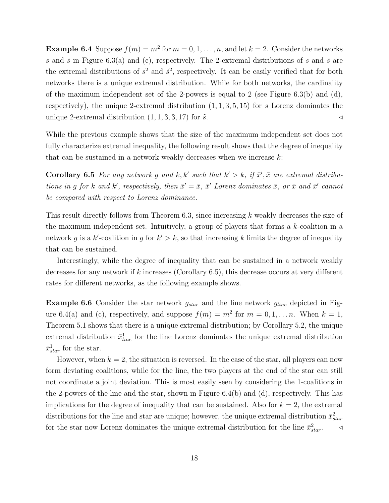**Example 6.4** Suppose  $f(m) = m^2$  for  $m = 0, 1, ..., n$ , and let  $k = 2$ . Consider the networks s and  $\tilde{s}$  in Figure 6.3(a) and (c), respectively. The 2-extremal distributions of s and  $\tilde{s}$  are the extremal distributions of  $s^2$  and  $\tilde{s}^2$ , respectively. It can be easily verified that for both networks there is a unique extremal distribution. While for both networks, the cardinality of the maximum independent set of the 2-powers is equal to 2 (see Figure 6.3(b) and (d), respectively), the unique 2-extremal distribution  $(1, 1, 3, 5, 15)$  for s Lorenz dominates the unique 2-extremal distribution  $(1, 1, 3, 3, 17)$  for  $\tilde{s}$ .

While the previous example shows that the size of the maximum independent set does not fully characterize extremal inequality, the following result shows that the degree of inequality that can be sustained in a network weakly decreases when we increase  $k$ :

**Corollary 6.5** For any network g and k, k' such that  $k' > k$ , if  $\bar{x}', \bar{x}$  are extremal distributions in g for k and k', respectively, then  $\bar{x}' = \bar{x}$ ,  $\bar{x}'$  Lorenz dominates  $\bar{x}$ , or  $\bar{x}$  and  $\bar{x}'$  cannot be compared with respect to Lorenz dominance.

This result directly follows from Theorem 6.3, since increasing k weakly decreases the size of the maximum independent set. Intuitively, a group of players that forms a k-coalition in a network g is a k'-coalition in g for  $k' > k$ , so that increasing k limits the degree of inequality that can be sustained.

Interestingly, while the degree of inequality that can be sustained in a network weakly decreases for any network if  $k$  increases (Corollary 6.5), this decrease occurs at very different rates for different networks, as the following example shows.

**Example 6.6** Consider the star network  $g_{star}$  and the line network  $g_{line}$  depicted in Figure 6.4(a) and (c), respectively, and suppose  $f(m) = m^2$  for  $m = 0, 1, \ldots n$ . When  $k = 1$ , Theorem 5.1 shows that there is a unique extremal distribution; by Corollary 5.2, the unique extremal distribution  $\bar{x}_{line}^1$  for the line Lorenz dominates the unique extremal distribution  $\bar{x}_{star}^1$  for the star.

However, when  $k = 2$ , the situation is reversed. In the case of the star, all players can now form deviating coalitions, while for the line, the two players at the end of the star can still not coordinate a joint deviation. This is most easily seen by considering the 1-coalitions in the 2-powers of the line and the star, shown in Figure 6.4(b) and (d), respectively. This has implications for the degree of inequality that can be sustained. Also for  $k = 2$ , the extremal distributions for the line and star are unique; however, the unique extremal distribution  $\bar{x}^2_{star}$ for the star now Lorenz dominates the unique extremal distribution for the line  $\bar{x}^2_{star}$ .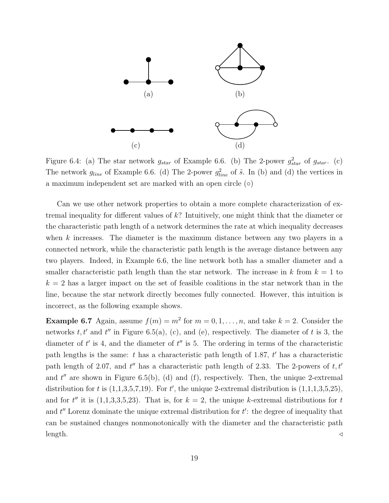

Figure 6.4: (a) The star network  $g_{star}$  of Example 6.6. (b) The 2-power  $g_{star}^2$  of  $g_{star}$ . (c) The network  $g_{line}$  of Example 6.6. (d) The 2-power  $g_{line}^2$  of  $\tilde{s}$ . In (b) and (d) the vertices in a maximum independent set are marked with an open circle (◦)

Can we use other network properties to obtain a more complete characterization of extremal inequality for different values of k? Intuitively, one might think that the diameter or the characteristic path length of a network determines the rate at which inequality decreases when  $k$  increases. The diameter is the maximum distance between any two players in a connected network, while the characteristic path length is the average distance between any two players. Indeed, in Example 6.6, the line network both has a smaller diameter and a smaller characteristic path length than the star network. The increase in k from  $k = 1$  to  $k = 2$  has a larger impact on the set of feasible coalitions in the star network than in the line, because the star network directly becomes fully connected. However, this intuition is incorrect, as the following example shows.

**Example 6.7** Again, assume  $f(m) = m^2$  for  $m = 0, 1, ..., n$ , and take  $k = 2$ . Consider the networks  $t, t'$  and  $t''$  in Figure 6.5(a), (c), and (e), respectively. The diameter of t is 3, the diameter of  $t'$  is 4, and the diameter of  $t''$  is 5. The ordering in terms of the characteristic path lengths is the same:  $t$  has a characteristic path length of 1.87,  $t'$  has a characteristic path length of 2.07, and  $t''$  has a characteristic path length of 2.33. The 2-powers of  $t, t'$ and  $t''$  are shown in Figure 6.5(b), (d) and (f), respectively. Then, the unique 2-extremal distribution for t is  $(1,1,3,5,7,19)$ . For t', the unique 2-extremal distribution is  $(1,1,1,3,5,25)$ , and for  $t''$  it is  $(1,1,3,3,5,23)$ . That is, for  $k = 2$ , the unique k-extremal distributions for t and  $t''$  Lorenz dominate the unique extremal distribution for  $t'$ : the degree of inequality that can be sustained changes nonmonotonically with the diameter and the characteristic path  $\qquad \qquad \text{length}.$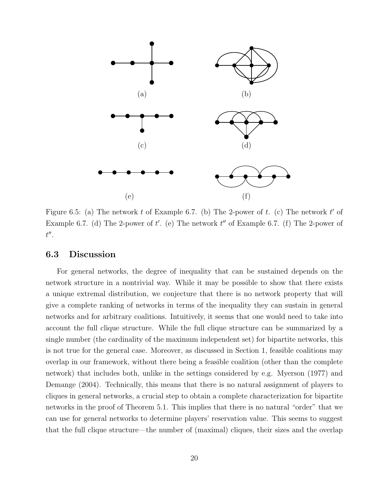

Figure 6.5: (a) The network  $t$  of Example 6.7. (b) The 2-power of  $t$ . (c) The network  $t'$  of Example 6.7. (d) The 2-power of  $t'$ . (e) The network  $t''$  of Example 6.7. (f) The 2-power of  $t^{\prime\prime}$ .

#### 6.3 Discussion

For general networks, the degree of inequality that can be sustained depends on the network structure in a nontrivial way. While it may be possible to show that there exists a unique extremal distribution, we conjecture that there is no network property that will give a complete ranking of networks in terms of the inequality they can sustain in general networks and for arbitrary coalitions. Intuitively, it seems that one would need to take into account the full clique structure. While the full clique structure can be summarized by a single number (the cardinality of the maximum independent set) for bipartite networks, this is not true for the general case. Moreover, as discussed in Section 1, feasible coalitions may overlap in our framework, without there being a feasible coalition (other than the complete network) that includes both, unlike in the settings considered by e.g. Myerson (1977) and Demange (2004). Technically, this means that there is no natural assignment of players to cliques in general networks, a crucial step to obtain a complete characterization for bipartite networks in the proof of Theorem 5.1. This implies that there is no natural "order" that we can use for general networks to determine players' reservation value. This seems to suggest that the full clique structure—the number of (maximal) cliques, their sizes and the overlap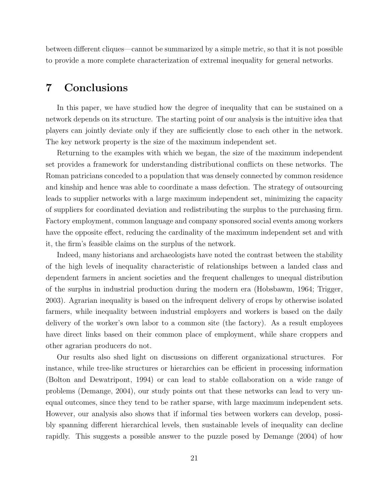between different cliques—cannot be summarized by a simple metric, so that it is not possible to provide a more complete characterization of extremal inequality for general networks.

## 7 Conclusions

In this paper, we have studied how the degree of inequality that can be sustained on a network depends on its structure. The starting point of our analysis is the intuitive idea that players can jointly deviate only if they are sufficiently close to each other in the network. The key network property is the size of the maximum independent set.

Returning to the examples with which we began, the size of the maximum independent set provides a framework for understanding distributional conflicts on these networks. The Roman patricians conceded to a population that was densely connected by common residence and kinship and hence was able to coordinate a mass defection. The strategy of outsourcing leads to supplier networks with a large maximum independent set, minimizing the capacity of suppliers for coordinated deviation and redistributing the surplus to the purchasing firm. Factory employment, common language and company sponsored social events among workers have the opposite effect, reducing the cardinality of the maximum independent set and with it, the firm's feasible claims on the surplus of the network.

Indeed, many historians and archaeologists have noted the contrast between the stability of the high levels of inequality characteristic of relationships between a landed class and dependent farmers in ancient societies and the frequent challenges to unequal distribution of the surplus in industrial production during the modern era (Hobsbawm, 1964; Trigger, 2003). Agrarian inequality is based on the infrequent delivery of crops by otherwise isolated farmers, while inequality between industrial employers and workers is based on the daily delivery of the worker's own labor to a common site (the factory). As a result employees have direct links based on their common place of employment, while share croppers and other agrarian producers do not.

Our results also shed light on discussions on different organizational structures. For instance, while tree-like structures or hierarchies can be efficient in processing information (Bolton and Dewatripont, 1994) or can lead to stable collaboration on a wide range of problems (Demange, 2004), our study points out that these networks can lead to very unequal outcomes, since they tend to be rather sparse, with large maximum independent sets. However, our analysis also shows that if informal ties between workers can develop, possibly spanning different hierarchical levels, then sustainable levels of inequality can decline rapidly. This suggests a possible answer to the puzzle posed by Demange (2004) of how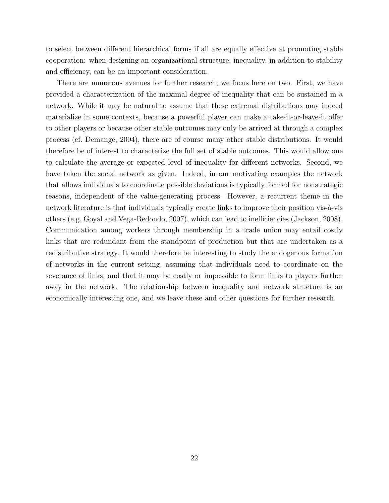to select between different hierarchical forms if all are equally effective at promoting stable cooperation: when designing an organizational structure, inequality, in addition to stability and efficiency, can be an important consideration.

There are numerous avenues for further research; we focus here on two. First, we have provided a characterization of the maximal degree of inequality that can be sustained in a network. While it may be natural to assume that these extremal distributions may indeed materialize in some contexts, because a powerful player can make a take-it-or-leave-it offer to other players or because other stable outcomes may only be arrived at through a complex process (cf. Demange, 2004), there are of course many other stable distributions. It would therefore be of interest to characterize the full set of stable outcomes. This would allow one to calculate the average or expected level of inequality for different networks. Second, we have taken the social network as given. Indeed, in our motivating examples the network that allows individuals to coordinate possible deviations is typically formed for nonstrategic reasons, independent of the value-generating process. However, a recurrent theme in the network literature is that individuals typically create links to improve their position vis- $\grave{a}$ -vis others (e.g. Goyal and Vega-Redondo, 2007), which can lead to inefficiencies (Jackson, 2008). Communication among workers through membership in a trade union may entail costly links that are redundant from the standpoint of production but that are undertaken as a redistributive strategy. It would therefore be interesting to study the endogenous formation of networks in the current setting, assuming that individuals need to coordinate on the severance of links, and that it may be costly or impossible to form links to players further away in the network. The relationship between inequality and network structure is an economically interesting one, and we leave these and other questions for further research.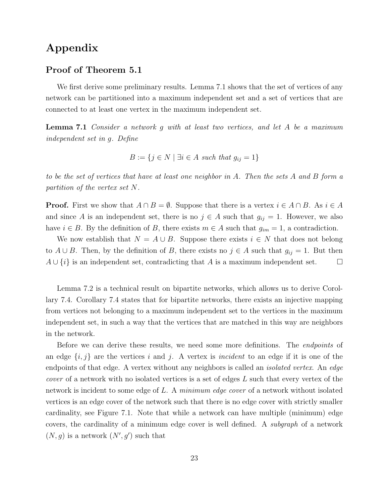## Appendix

### Proof of Theorem 5.1

We first derive some preliminary results. Lemma 7.1 shows that the set of vertices of any network can be partitioned into a maximum independent set and a set of vertices that are connected to at least one vertex in the maximum independent set.

Lemma 7.1 Consider a network g with at least two vertices, and let A be a maximum independent set in g. Define

$$
B := \{ j \in N \mid \exists i \in A \text{ such that } g_{ij} = 1 \}
$$

to be the set of vertices that have at least one neighbor in A. Then the sets A and B form a partition of the vertex set N.

**Proof.** First we show that  $A \cap B = \emptyset$ . Suppose that there is a vertex  $i \in A \cap B$ . As  $i \in A$ and since A is an independent set, there is no  $j \in A$  such that  $g_{ij} = 1$ . However, we also have  $i \in B$ . By the definition of B, there exists  $m \in A$  such that  $g_{im} = 1$ , a contradiction.

We now establish that  $N = A \cup B$ . Suppose there exists  $i \in N$  that does not belong to  $A \cup B$ . Then, by the definition of B, there exists no  $j \in A$  such that  $g_{ij} = 1$ . But then  $A \cup \{i\}$  is an independent set, contradicting that A is a maximum independent set.  $\square$ 

Lemma 7.2 is a technical result on bipartite networks, which allows us to derive Corollary 7.4. Corollary 7.4 states that for bipartite networks, there exists an injective mapping from vertices not belonging to a maximum independent set to the vertices in the maximum independent set, in such a way that the vertices that are matched in this way are neighbors in the network.

Before we can derive these results, we need some more definitions. The *endpoints* of an edge  $\{i, j\}$  are the vertices i and j. A vertex is incident to an edge if it is one of the endpoints of that edge. A vertex without any neighbors is called an *isolated vertex*. An *edge* cover of a network with no isolated vertices is a set of edges L such that every vertex of the network is incident to some edge of L. A minimum edge cover of a network without isolated vertices is an edge cover of the network such that there is no edge cover with strictly smaller cardinality, see Figure 7.1. Note that while a network can have multiple (minimum) edge covers, the cardinality of a minimum edge cover is well defined. A subgraph of a network  $(N, g)$  is a network  $(N', g')$  such that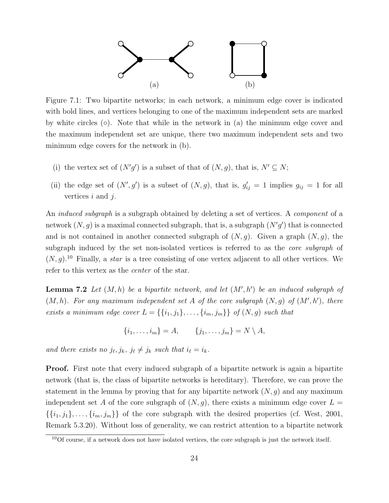

Figure 7.1: Two bipartite networks; in each network, a minimum edge cover is indicated with bold lines, and vertices belonging to one of the maximum independent sets are marked by white circles  $(○)$ . Note that while in the network in  $(a)$  the minimum edge cover and the maximum independent set are unique, there two maximum independent sets and two minimum edge covers for the network in (b).

- (i) the vertex set of  $(N'g')$  is a subset of that of  $(N, g)$ , that is,  $N' \subseteq N$ ;
- (ii) the edge set of  $(N', g')$  is a subset of  $(N, g)$ , that is,  $g'_{ij} = 1$  implies  $g_{ij} = 1$  for all vertices  $i$  and  $j$ .

An *induced subgraph* is a subgraph obtained by deleting a set of vertices. A *component* of a network  $(N, g)$  is a maximal connected subgraph, that is, a subgraph  $(N'g')$  that is connected and is not contained in another connected subgraph of  $(N, g)$ . Given a graph  $(N, g)$ , the subgraph induced by the set non-isolated vertices is referred to as the *core subgraph* of  $(N, g)$ .<sup>10</sup> Finally, a *star* is a tree consisting of one vertex adjacent to all other vertices. We refer to this vertex as the center of the star.

**Lemma 7.2** Let  $(M, h)$  be a bipartite network, and let  $(M', h')$  be an induced subgraph of  $(M, h)$ . For any maximum independent set A of the core subgraph  $(N, g)$  of  $(M', h')$ , there exists a minimum edge cover  $L = \{\{i_1, j_1\}, \ldots, \{i_m, j_m\}\}\;$  of  $(N, g)$  such that

 $\{i_1, \ldots, i_m\} = A, \qquad \{j_1, \ldots, j_m\} = N \setminus A,$ 

and there exists no  $j_{\ell}, j_k, j_{\ell} \neq j_k$  such that  $i_{\ell} = i_k$ .

**Proof.** First note that every induced subgraph of a bipartite network is again a bipartite network (that is, the class of bipartite networks is hereditary). Therefore, we can prove the statement in the lemma by proving that for any bipartite network  $(N, g)$  and any maximum independent set A of the core subgraph of  $(N, g)$ , there exists a minimum edge cover  $L =$  $\{\{i_1, j_1\}, \ldots, \{i_m, j_m\}\}\$  of the core subgraph with the desired properties (cf. West, 2001, Remark 5.3.20). Without loss of generality, we can restrict attention to a bipartite network

 $10$ Of course, if a network does not have isolated vertices, the core subgraph is just the network itself.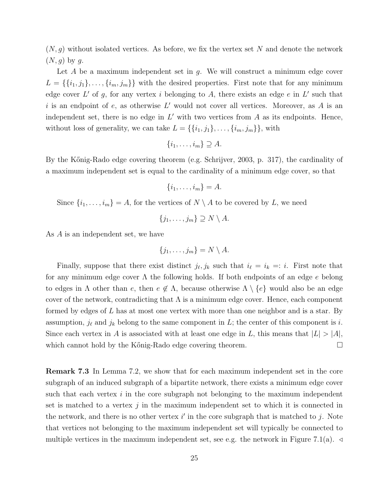$(N, g)$  without isolated vertices. As before, we fix the vertex set N and denote the network  $(N, g)$  by g.

Let A be a maximum independent set in  $g$ . We will construct a minimum edge cover  $L = \{\{i_1, j_1\}, \ldots, \{i_m, j_m\}\}\$  with the desired properties. First note that for any minimum edge cover  $L'$  of g, for any vertex i belonging to A, there exists an edge e in  $L'$  such that i is an endpoint of  $e$ , as otherwise  $L'$  would not cover all vertices. Moreover, as  $A$  is an independent set, there is no edge in  $L'$  with two vertices from  $A$  as its endpoints. Hence, without loss of generality, we can take  $L = \{\{i_1, j_1\}, \ldots, \{i_m, j_m\}\}\,$  with

$$
\{i_1,\ldots,i_m\}\supseteq A.
$$

By the Kőnig-Rado edge covering theorem (e.g. Schrijver, 2003, p. 317), the cardinality of a maximum independent set is equal to the cardinality of a minimum edge cover, so that

$$
\{i_1,\ldots,i_m\}=A.
$$

Since  $\{i_1, \ldots, i_m\} = A$ , for the vertices of  $N \setminus A$  to be covered by L, we need

$$
\{j_1,\ldots,j_m\}\supseteq N\setminus A.
$$

As A is an independent set, we have

$$
\{j_1,\ldots,j_m\}=N\setminus A.
$$

Finally, suppose that there exist distinct  $j_{\ell}, j_k$  such that  $i_{\ell} = i_k =: i$ . First note that for any minimum edge cover  $\Lambda$  the following holds. If both endpoints of an edge e belong to edges in  $\Lambda$  other than e, then  $e \notin \Lambda$ , because otherwise  $\Lambda \setminus \{e\}$  would also be an edge cover of the network, contradicting that  $\Lambda$  is a minimum edge cover. Hence, each component formed by edges of  $L$  has at most one vertex with more than one neighbor and is a star. By assumption,  $j_{\ell}$  and  $j_k$  belong to the same component in L; the center of this component is i. Since each vertex in A is associated with at least one edge in L, this means that  $|L| > |A|$ , which cannot hold by the Kőnig-Rado edge covering theorem.  $\Box$ 

Remark 7.3 In Lemma 7.2, we show that for each maximum independent set in the core subgraph of an induced subgraph of a bipartite network, there exists a minimum edge cover such that each vertex  $i$  in the core subgraph not belonging to the maximum independent set is matched to a vertex  $j$  in the maximum independent set to which it is connected in the network, and there is no other vertex  $i'$  in the core subgraph that is matched to j. Note that vertices not belonging to the maximum independent set will typically be connected to multiple vertices in the maximum independent set, see e.g. the network in Figure 7.1(a).  $\triangleleft$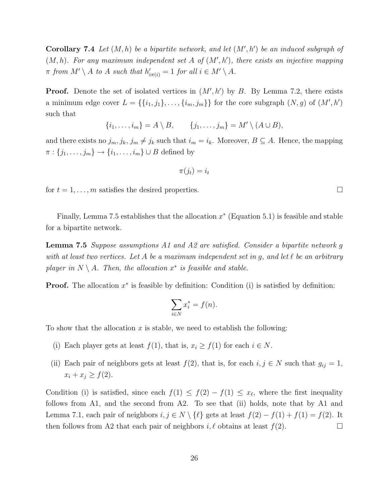**Corollary 7.4** Let  $(M, h)$  be a bipartite network, and let  $(M', h')$  be an induced subgraph of  $(M, h)$ . For any maximum independent set A of  $(M', h')$ , there exists an injective mapping  $\pi$  from  $M' \setminus A$  to  $A$  such that  $h'_{i\pi(i)} = 1$  for all  $i \in M' \setminus A$ .

**Proof.** Denote the set of isolated vertices in  $(M', h')$  by B. By Lemma 7.2, there exists a minimum edge cover  $L = \{\{i_1, j_1\}, \ldots, \{i_m, j_m\}\}\$ for the core subgraph  $(N, g)$  of  $(M', h')$ such that

$$
\{i_1,\ldots,i_m\} = A \setminus B, \qquad \{j_1,\ldots,j_m\} = M' \setminus (A \cup B),
$$

and there exists no  $j_m, j_k, j_m \neq j_k$  such that  $i_m = i_k$ . Moreover,  $B \subseteq A$ . Hence, the mapping  $\pi : \{j_1, \ldots, j_m\} \to \{i_1, \ldots, i_m\} \cup B$  defined by

$$
\pi(j_t) = i_t
$$

for  $t = 1, \ldots, m$  satisfies the desired properties.

Finally, Lemma 7.5 establishes that the allocation  $x^*$  (Equation 5.1) is feasible and stable for a bipartite network.

**Lemma 7.5** Suppose assumptions A1 and A2 are satisfied. Consider a bipartite network g with at least two vertices. Let A be a maximum independent set in q, and let  $\ell$  be an arbitrary player in  $N \setminus A$ . Then, the allocation  $x^*$  is feasible and stable.

**Proof.** The allocation  $x^*$  is feasible by definition: Condition (i) is satisfied by definition:

$$
\sum_{i \in N} x_i^* = f(n).
$$

To show that the allocation x is stable, we need to establish the following:

- (i) Each player gets at least  $f(1)$ , that is,  $x_i \ge f(1)$  for each  $i \in N$ .
- (ii) Each pair of neighbors gets at least  $f(2)$ , that is, for each  $i, j \in N$  such that  $g_{ij} = 1$ ,  $x_i + x_j \geq f(2)$ .

Condition (i) is satisfied, since each  $f(1) \leq f(2) - f(1) \leq x_{\ell}$ , where the first inequality follows from A1, and the second from A2. To see that (ii) holds, note that by A1 and Lemma 7.1, each pair of neighbors  $i, j \in N \setminus \{\ell\}$  gets at least  $f(2) - f(1) + f(1) = f(2)$ . It then follows from A2 that each pair of neighbors  $i, \ell$  obtains at least  $f(2)$ .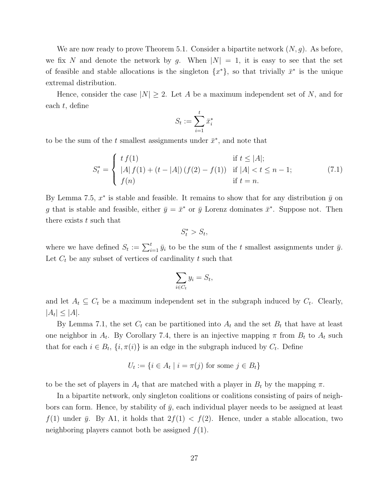We are now ready to prove Theorem 5.1. Consider a bipartite network  $(N, g)$ . As before, we fix N and denote the network by g. When  $|N| = 1$ , it is easy to see that the set of feasible and stable allocations is the singleton  $\{x^*\}$ , so that trivially  $\bar{x}^*$  is the unique extremal distribution.

Hence, consider the case  $|N| \geq 2$ . Let A be a maximum independent set of N, and for each  $t$ , define

$$
S_t := \sum_{i=1}^t \bar{x}_i^*
$$

to be the sum of the t smallest assignments under  $\bar{x}^*$ , and note that

$$
S_t^* = \begin{cases} t f(1) & \text{if } t \le |A|; \\ |A| f(1) + (t - |A|) (f(2) - f(1)) & \text{if } |A| < t \le n - 1; \\ f(n) & \text{if } t = n. \end{cases}
$$
(7.1)

By Lemma 7.5,  $x^*$  is stable and feasible. It remains to show that for any distribution  $\bar{y}$  on g that is stable and feasible, either  $\bar{y} = \bar{x}^*$  or  $\bar{y}$  Lorenz dominates  $\bar{x}^*$ . Suppose not. Then there exists  $t$  such that

$$
S_t^* > S_t,
$$

where we have defined  $S_t := \sum_{i=1}^t \bar{y}_i$  to be the sum of the t smallest assignments under  $\bar{y}$ . Let  $C_t$  be any subset of vertices of cardinality t such that

$$
\sum_{i \in C_t} y_i = S_t,
$$

and let  $A_t \subseteq C_t$  be a maximum independent set in the subgraph induced by  $C_t$ . Clearly,  $|A_t| \leq |A|.$ 

By Lemma 7.1, the set  $C_t$  can be partitioned into  $A_t$  and the set  $B_t$  that have at least one neighbor in  $A_t$ . By Corollary 7.4, there is an injective mapping  $\pi$  from  $B_t$  to  $A_t$  such that for each  $i \in B_t$ ,  $\{i, \pi(i)\}\$ is an edge in the subgraph induced by  $C_t$ . Define

$$
U_t := \{ i \in A_t \mid i = \pi(j) \text{ for some } j \in B_t \}
$$

to be the set of players in  $A_t$  that are matched with a player in  $B_t$  by the mapping  $\pi$ .

In a bipartite network, only singleton coalitions or coalitions consisting of pairs of neighbors can form. Hence, by stability of  $\bar{y}$ , each individual player needs to be assigned at least  $f(1)$  under  $\bar{y}$ . By A1, it holds that  $2f(1) < f(2)$ . Hence, under a stable allocation, two neighboring players cannot both be assigned  $f(1)$ .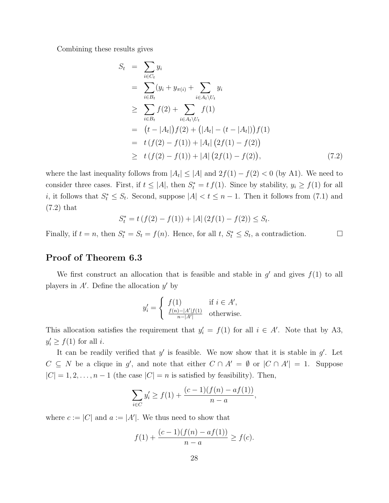Combining these results gives

$$
S_t = \sum_{i \in C_t} y_i
$$
  
\n
$$
= \sum_{i \in B_t} (y_i + y_{\pi(i)} + \sum_{i \in A_t \setminus U_t} y_i
$$
  
\n
$$
\geq \sum_{i \in B_t} f(2) + \sum_{i \in A_t \setminus U_t} f(1)
$$
  
\n
$$
= (t - |A_t|) f(2) + (|A_t| - (t - |A_t|)) f(1)
$$
  
\n
$$
= t (f(2) - f(1)) + |A_t| (2f(1) - f(2))
$$
  
\n
$$
\geq t (f(2) - f(1)) + |A| (2f(1) - f(2)), \qquad (7.2)
$$

where the last inequality follows from  $|A_t| \leq |A|$  and  $2f(1) - f(2) < 0$  (by A1). We need to consider three cases. First, if  $t \leq |A|$ , then  $S_t^* = t f(1)$ . Since by stability,  $y_i \geq f(1)$  for all *i*, it follows that  $S_t^* \leq S_t$ . Second, suppose  $|A| < t \leq n-1$ . Then it follows from (7.1) and (7.2) that

$$
S_t^* = t(f(2) - f(1)) + |A| (2f(1) - f(2)) \le S_t.
$$

Finally, if  $t = n$ , then  $S_t^* = S_t = f(n)$ . Hence, for all  $t, S_t^* \leq S_t$ , a contradiction.

### Proof of Theorem 6.3

We first construct an allocation that is feasible and stable in  $g'$  and gives  $f(1)$  to all players in  $A'$ . Define the allocation  $y'$  by

$$
y'_{i} = \begin{cases} f(1) & \text{if } i \in A',\\ \frac{f(n) - |A'|f(1)}{n - |A'|} & \text{otherwise.} \end{cases}
$$

This allocation satisfies the requirement that  $y_i' = f(1)$  for all  $i \in A'$ . Note that by A3,  $y'_i \ge f(1)$  for all *i*.

It can be readily verified that  $y'$  is feasible. We now show that it is stable in  $g'$ . Let  $C \subseteq N$  be a clique in g', and note that either  $C \cap A' = \emptyset$  or  $|C \cap A'| = 1$ . Suppose  $|C| = 1, 2, \ldots, n - 1$  (the case  $|C| = n$  is satisfied by feasibility). Then,

$$
\sum_{i \in C} y'_i \ge f(1) + \frac{(c-1)(f(n) - af(1))}{n - a},
$$

where  $c := |C|$  and  $a := |A'|$ . We thus need to show that

$$
f(1) + \frac{(c-1)(f(n) - af(1))}{n - a} \ge f(c).
$$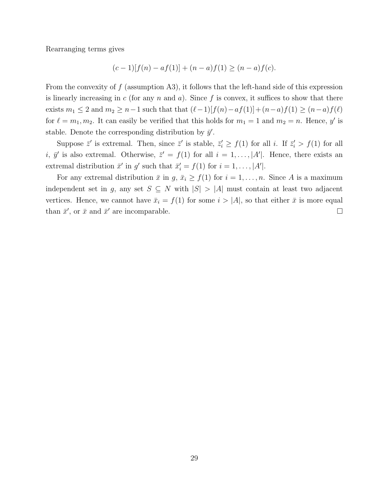Rearranging terms gives

$$
(c-1)[f(n) - af(1)] + (n - a)f(1) \ge (n - a)f(c).
$$

From the convexity of  $f$  (assumption A3), it follows that the left-hand side of this expression is linearly increasing in c (for any n and a). Since f is convex, it suffices to show that there exists  $m_1 \leq 2$  and  $m_2 \geq n-1$  such that that  $(\ell-1)[f(n)-af(1)]+(n-a)f(1) \geq (n-a)f(\ell)$ for  $\ell = m_1, m_2$ . It can easily be verified that this holds for  $m_1 = 1$  and  $m_2 = n$ . Hence, y' is stable. Denote the corresponding distribution by  $\bar{y}'$ .

Suppose  $\bar{z}'$  is extremal. Then, since  $\bar{z}'$  is stable,  $\bar{z}'_i \geq f(1)$  for all i. If  $\bar{z}'_i > f(1)$  for all i,  $\bar{y}'$  is also extremal. Otherwise,  $\bar{z}' = f(1)$  for all  $i = 1, \ldots, |A'|$ . Hence, there exists an extremal distribution  $\bar{x}'$  in  $g'$  such that  $\bar{x}'_i = f(1)$  for  $i = 1, ..., |A'|$ .

For any extremal distribution  $\bar{x}$  in  $g, \bar{x}_i \ge f(1)$  for  $i = 1, ..., n$ . Since A is a maximum independent set in g, any set  $S \subseteq N$  with  $|S| > |A|$  must contain at least two adjacent vertices. Hence, we cannot have  $\bar{x}_i = f(1)$  for some  $i > |A|$ , so that either  $\bar{x}$  is more equal than  $\bar{x}'$ , or  $\bar{x}$  and  $\bar{x}'$  are incomparable.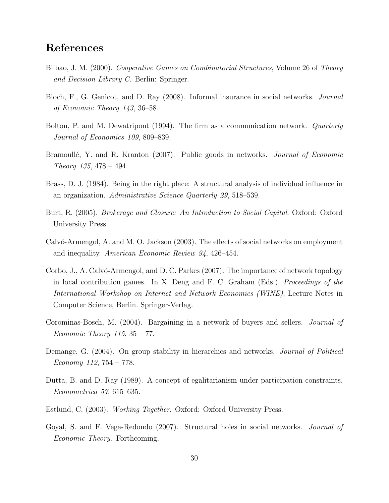## References

- Bilbao, J. M. (2000). Cooperative Games on Combinatorial Structures, Volume 26 of Theory and Decision Library C. Berlin: Springer.
- Bloch, F., G. Genicot, and D. Ray (2008). Informal insurance in social networks. *Journal* of Economic Theory 143, 36–58.
- Bolton, P. and M. Dewatripont (1994). The firm as a communication network. Quarterly Journal of Economics 109, 809–839.
- Bramoullé, Y. and R. Kranton (2007). Public goods in networks. *Journal of Economic* Theory 135, 478 – 494.
- Brass, D. J. (1984). Being in the right place: A structural analysis of individual influence in an organization. Administrative Science Quarterly 29, 518–539.
- Burt, R. (2005). Brokerage and Closure: An Introduction to Social Capital. Oxford: Oxford University Press.
- Calvó-Armengol, A. and M. O. Jackson (2003). The effects of social networks on employment and inequality. American Economic Review 94, 426–454.
- Corbo, J., A. Calvó-Armengol, and D. C. Parkes (2007). The importance of network topology in local contribution games. In X. Deng and F. C. Graham (Eds.), Proceedings of the International Workshop on Internet and Network Economics (WINE), Lecture Notes in Computer Science, Berlin. Springer-Verlag.
- Corominas-Bosch, M. (2004). Bargaining in a network of buyers and sellers. Journal of Economic Theory 115,  $35 - 77$ .
- Demange, G. (2004). On group stability in hierarchies and networks. *Journal of Political* Economy 112, 754 – 778.
- Dutta, B. and D. Ray (1989). A concept of egalitarianism under participation constraints. Econometrica 57, 615–635.
- Estlund, C. (2003). Working Together. Oxford: Oxford University Press.
- Goyal, S. and F. Vega-Redondo (2007). Structural holes in social networks. Journal of Economic Theory. Forthcoming.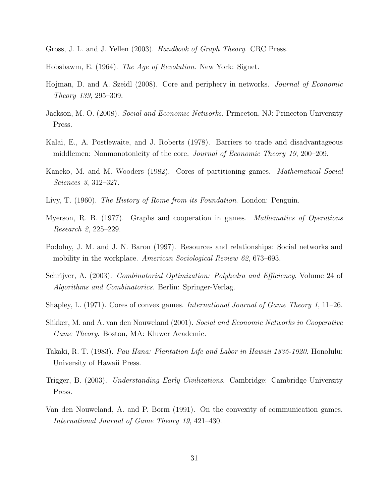Gross, J. L. and J. Yellen (2003). Handbook of Graph Theory. CRC Press.

Hobsbawm, E. (1964). The Age of Revolution. New York: Signet.

- Hojman, D. and A. Szeidl (2008). Core and periphery in networks. Journal of Economic Theory 139, 295–309.
- Jackson, M. O. (2008). Social and Economic Networks. Princeton, NJ: Princeton University Press.
- Kalai, E., A. Postlewaite, and J. Roberts (1978). Barriers to trade and disadvantageous middlemen: Nonmonotonicity of the core. Journal of Economic Theory 19, 200–209.
- Kaneko, M. and M. Wooders (1982). Cores of partitioning games. *Mathematical Social* Sciences 3, 312–327.
- Livy, T. (1960). *The History of Rome from its Foundation*. London: Penguin.
- Myerson, R. B. (1977). Graphs and cooperation in games. Mathematics of Operations Research 2, 225–229.
- Podolny, J. M. and J. N. Baron (1997). Resources and relationships: Social networks and mobility in the workplace. American Sociological Review 62, 673–693.
- Schrijver, A. (2003). *Combinatorial Optimization: Polyhedra and Efficiency*, Volume 24 of Algorithms and Combinatorics. Berlin: Springer-Verlag.
- Shapley, L. (1971). Cores of convex games. International Journal of Game Theory 1, 11–26.
- Slikker, M. and A. van den Nouweland (2001). Social and Economic Networks in Cooperative Game Theory. Boston, MA: Kluwer Academic.
- Takaki, R. T. (1983). Pau Hana: Plantation Life and Labor in Hawaii 1835-1920. Honolulu: University of Hawaii Press.
- Trigger, B. (2003). Understanding Early Civilizations. Cambridge: Cambridge University Press.
- Van den Nouweland, A. and P. Borm (1991). On the convexity of communication games. International Journal of Game Theory 19, 421–430.